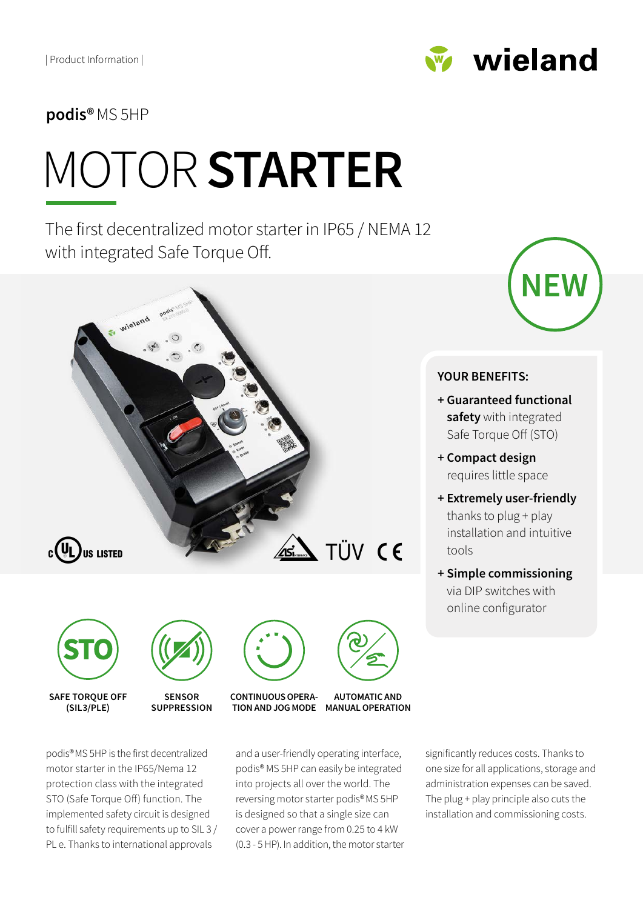

**podis®**MS 5HP

# MOTOR **STARTER**

The first decentralized motor starter in IP65 / NEMA 12 with integrated Safe Torque Off.







**SENSOR SUPPRESSION**

**TION AND JOG MODE MANUAL OPERATION CONTINUOUS OPERA-**



and a user-friendly operating interface, podis® MS 5HP can easily be integrated into projects all over the world. The reversing motor starter podis®MS 5HP is designed so that a single size can cover a power range from 0.25 to 4 kW (0.3 - 5 HP). In addition, the motor starter

significantly reduces costs. Thanks to one size for all applications, storage and administration expenses can be saved. The plug + play principle also cuts the installation and commissioning costs.



#### **YOUR BENEFITS:**

- **+ Guaranteed functional safety** with integrated Safe Torque Off (STO)
- **+ Compact design**  requires little space
- **+ Extremely user-friendly**  thanks to plug + play installation and intuitive tools
- **+ Simple commissioning**  via DIP switches with online configurator

podis®MS 5HP is the first decentralized motor starter in the IP65/Nema 12 protection class with the integrated STO (Safe Torque Off) function. The implemented safety circuit is designed to fulfill safety requirements up to SIL 3 / PL e. Thanks to international approvals